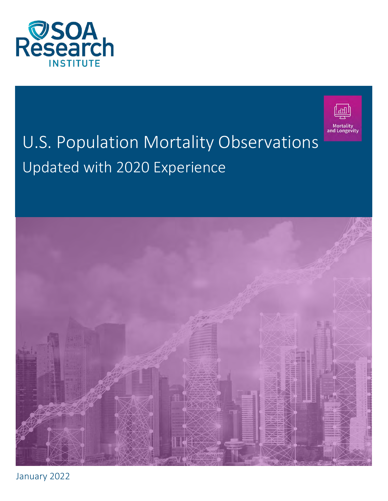



# U.S. Population Mortality Observations Updated with 2020 Experience



January 2022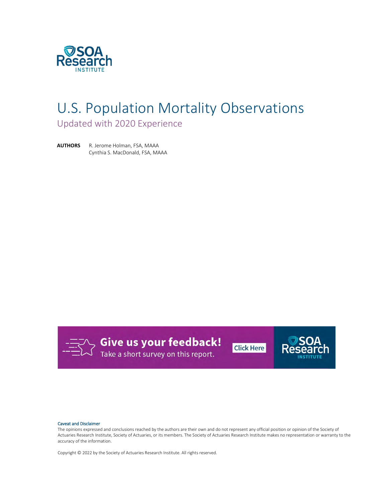

# U.S. Population Mortality Observations

Updated with 2020 Experience

**AUTHORS** R. Jerome Holman, FSA, MAAA Cynthia S. MacDonald, FSA, MAAA



**Give us your feedback!**<br>Take a short survey on this report.





#### Caveat and Disclaimer

The opinions expressed and conclusions reached by the authors are their own and do not represent any official position or opinion of the Society of Actuaries Research Institute, Society of Actuaries, or its members. The Society of Actuaries Research Institute makes no representation or warranty to the accuracy of the information.

Copyright © 2022 by the Society of Actuaries Research Institute. All rights reserved.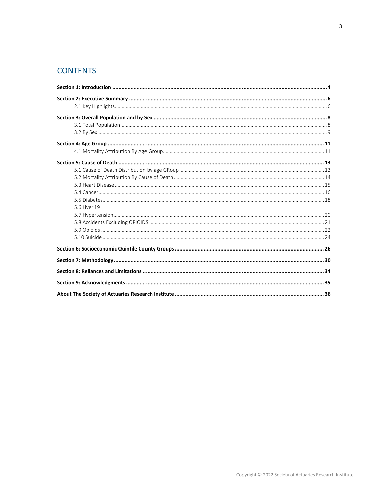# **CONTENTS**

| 5.6 Liver 19 |  |
|--------------|--|
|              |  |
|              |  |
|              |  |
|              |  |
|              |  |
|              |  |
|              |  |
|              |  |
|              |  |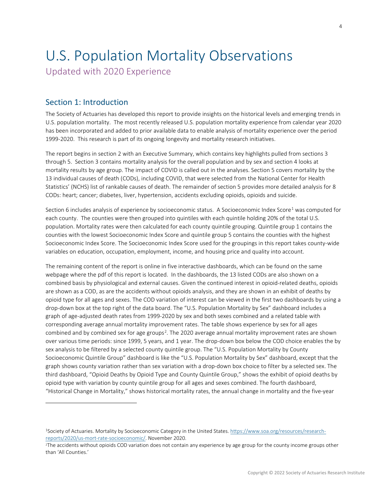# U.S. Population Mortality Observations

<span id="page-3-0"></span>Updated with 2020 Experience

# Section 1: Introduction

The Society of Actuaries has developed this report to provide insights on the historical levels and emerging trends in U.S. population mortality. The most recently released U.S. population mortality experience from calendar year 2020 has been incorporated and added to prior available data to enable analysis of mortality experience over the period 1999-2020. This research is part of its ongoing longevity and mortality research initiatives.

The report begins in section 2 with an Executive Summary, which contains key highlights pulled from sections 3 through 5. Section 3 contains mortality analysis for the overall population and by sex and section 4 looks at mortality results by age group. The impact of COVID is called out in the analyses. Section 5 covers mortality by the 13 individual causes of death (CODs), including COVID, that were selected from the National Center for Health Statistics' (NCHS) list of rankable causes of death. The remainder of section 5 provides more detailed analysis for 8 CODs: heart; cancer; diabetes, liver, hypertension, accidents excluding opioids, opioids and suicide.

Section 6 includes analysis of experience by socioeconomic status. A Socioeconomic Index Score<sup>[1](#page-3-1)</sup> was computed for each county. The counties were then grouped into quintiles with each quintile holding 20% of the total U.S. population. Mortality rates were then calculated for each county quintile grouping. Quintile group 1 contains the counties with the lowest Socioeconomic Index Score and quintile group 5 contains the counties with the highest Socioeconomic Index Score. The Socioeconomic Index Score used for the groupings in this report takes county-wide variables on education, occupation, employment, income, and housing price and quality into account.

The remaining content of the report is online in five interactive dashboards, which can be found on the same webpage where the pdf of this report is located. In the dashboards, the 13 listed CODs are also shown on a combined basis by physiological and external causes. Given the continued interest in opioid-related deaths, opioids are shown as a COD, as are the accidents without opioids analysis, and they are shown in an exhibit of deaths by opioid type for all ages and sexes. The COD variation of interest can be viewed in the first two dashboards by using a drop-down box at the top right of the data board. The "U.S. Population Mortality by Sex" dashboard includes a graph of age-adjusted death rates from 1999-2020 by sex and both sexes combined and a related table with corresponding average annual mortality improvement rates. The table shows experience by sex for all ages combined and by combined sex for age groups<sup>[2](#page-3-2)</sup>. The 2020 average annual mortality improvement rates are shown over various time periods: since 1999, 5 years, and 1 year. The drop-down box below the COD choice enables the by sex analysis to be filtered by a selected county quintile group. The "U.S. Population Mortality by County Socioeconomic Quintile Group" dashboard is like the "U.S. Population Mortality by Sex" dashboard, except that the graph shows county variation rather than sex variation with a drop-down box choice to filter by a selected sex. The third dashboard, "Opioid Deaths by Opioid Type and County Quintile Group," shows the exhibit of opioid deaths by opioid type with variation by county quintile group for all ages and sexes combined. The fourth dashboard, "Historical Change in Mortality," shows historical mortality rates, the annual change in mortality and the five-year

<span id="page-3-1"></span><sup>1</sup>Society of Actuaries. Mortality by Socioeconomic Category in the United States. [https://www.soa.org/resources/research](https://www.soa.org/resources/research-reports/2020/us-mort-rate-socioeconomic/)[reports/2020/us-mort-rate-socioeconomic/.](https://www.soa.org/resources/research-reports/2020/us-mort-rate-socioeconomic/) November 2020.

<span id="page-3-2"></span><sup>2</sup>The accidents without opioids COD variation does not contain any experience by age group for the county income groups other than 'All Counties.'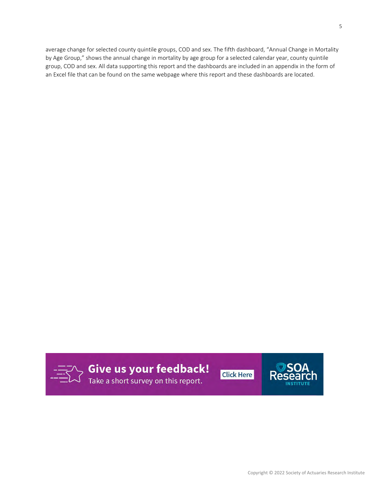average change for selected county quintile groups, COD and sex. The fifth dashboard, "Annual Change in Mortality by Age Group," shows the annual change in mortality by age group for a selected calendar year, county quintile group, COD and sex. All data supporting this report and the dashboards are included in an appendix in the form of an Excel file that can be found on the same webpage where this report and these dashboards are located.

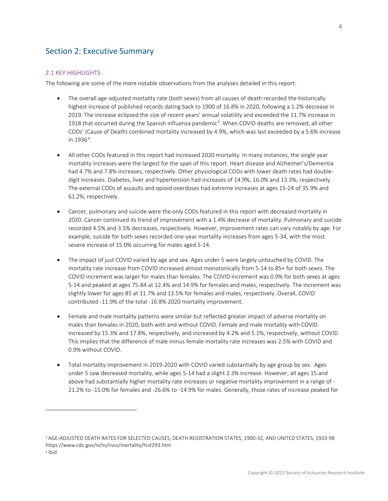# <span id="page-5-0"></span>Section 2: Executive Summary

# <span id="page-5-1"></span>2.1 KEY HIGHLIGHTS

The following are some of the more notable observations from the analyses detailed in this report:

- The overall age-adjusted mortality rate (both sexes) from all causes of death recorded the historically highest increase of published records dating back to 1900 of 16.8% in 2020, following a 1.2% decrease in 2019. The increase eclipsed the size of recent years' annual volatility and exceeded the 11.7% increase in 1918 that occurred during the Spanish influenza pandemic<sup>[3](#page-5-2)</sup>. When COVID deaths are removed, all other CODs' (Cause of Death) combined mortality increased by 4.9%, which was last exceeded by a 5.6% increase in  $1936^4$  $1936^4$ .
- All other CODs featured in this report had increased 2020 mortality. In many instances, the single year mortality increases were the largest for the span of this report. Heart disease and Alzheimer's/Dementia had 4.7% and 7.8% increases, respectively. Other physiological CODs with lower death rates had doubledigit increases. Diabetes, liver and hypertension had increases of 14.9%, 16.0% and 13.3%, respectively. The external CODs of assaults and opioid overdoses had extreme increases at ages 15-24 of 35.9% and 61.2%, respectively.
- Cancer, pulmonary and suicide were the only CODs featured in this report with decreased mortality in 2020. Cancer continued its trend of improvement with a 1.4% decrease of mortality. Pulmonary and suicide recorded 4.5% and 3.5% decreases, respectively. However, improvement rates can vary notably by age. For example, suicide for both sexes recorded one-year mortality increases from ages 5-34, with the most severe increase of 15.0% occurring for males aged 5-14.
- The impact of just COVID varied by age and sex. Ages under 5 were largely untouched by COVID. The mortality rate increase from COVID increased almost monotonically from 5-14 to 85+ for both sexes. The COVID increment was larger for males than females. The COVID increment was 0.9% for both sexes at ages 5-14 and peaked at ages 75-84 at 12.4% and 14.9% for females and males, respectively. The increment was slightly lower for ages 85 at 11.7% and 13.5% for females and males, respectively. Overall, COVID contributed -11.9% of the total -16.8% 2020 mortality improvement.
- Female and male mortality patterns were similar but reflected greater impact of adverse mortality on males than females in 2020, both with and without COVID. Female and male mortality with COVID increased by 15.3% and 17.8%, respectively, and increased by 4.2% and 5.1%, respectively, without COVID. This implies that the difference of male minus female mortality rate increases was 2.5% with COVID and 0.9% without COVID.
- Total mortality improvement in 2019-2020 with COVID varied substantially by age group by sex. Ages under 5 saw decreased mortality, while ages 5-14 had a slight 2.3% increase. However, all ages 15 and above had substantially higher mortality rate increases or negative mortality improvement in a range of - 21.2% to -15.0% for females and -26.6% to -14.9% for males. Generally, those rates of increase peaked for

<span id="page-5-2"></span><sup>3</sup> AGE-ADJUSTED DEATH RATES FOR SELECTED CAUSES, DEATH REGISTRATION STATES, 1900-32, AND UNITED STATES, 1933-98 https://www.cdc.gov/nchs/nvss/mortality/hist293.htm

<span id="page-5-3"></span><sup>4</sup> Ibid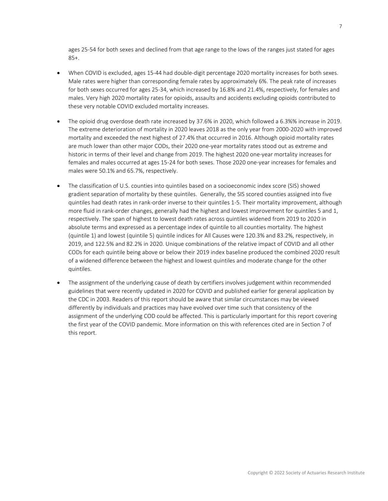ages 25-54 for both sexes and declined from that age range to the lows of the ranges just stated for ages 85+.

- When COVID is excluded, ages 15-44 had double-digit percentage 2020 mortality increases for both sexes. Male rates were higher than corresponding female rates by approximately 6%. The peak rate of increases for both sexes occurred for ages 25-34, which increased by 16.8% and 21.4%, respectively, for females and males. Very high 2020 mortality rates for opioids, assaults and accidents excluding opioids contributed to these very notable COVID excluded mortality increases.
- The opioid drug overdose death rate increased by 37.6% in 2020, which followed a 6.3%% increase in 2019. The extreme deterioration of mortality in 2020 leaves 2018 as the only year from 2000-2020 with improved mortality and exceeded the next highest of 27.4% that occurred in 2016. Although opioid mortality rates are much lower than other major CODs, their 2020 one-year mortality rates stood out as extreme and historic in terms of their level and change from 2019. The highest 2020 one-year mortality increases for females and males occurred at ages 15-24 for both sexes. Those 2020 one-year increases for females and males were 50.1% and 65.7%, respectively.
- The classification of U.S. counties into quintiles based on a socioeconomic index score (SIS) showed gradient separation of mortality by these quintiles. Generally, the SIS scored counties assigned into five quintiles had death rates in rank-order inverse to their quintiles 1-5. Their mortality improvement, although more fluid in rank-order changes, generally had the highest and lowest improvement for quintiles 5 and 1, respectively. The span of highest to lowest death rates across quintiles widened from 2019 to 2020 in absolute terms and expressed as a percentage index of quintile to all counties mortality. The highest (quintile 1) and lowest (quintile 5) quintile indices for All Causes were 120.3% and 83.2%, respectively, in 2019, and 122.5% and 82.2% in 2020. Unique combinations of the relative impact of COVID and all other CODs for each quintile being above or below their 2019 index baseline produced the combined 2020 result of a widened difference between the highest and lowest quintiles and moderate change for the other quintiles.
- The assignment of the underlying cause of death by certifiers involves judgement within recommended guidelines that were recently updated in 2020 for COVID and published earlier for general application by the CDC in 2003. Readers of this report should be aware that similar circumstances may be viewed differently by individuals and practices may have evolved over time such that consistency of the assignment of the underlying COD could be affected. This is particularly important for this report covering the first year of the COVID pandemic. More information on this with references cited are in Section 7 of this report.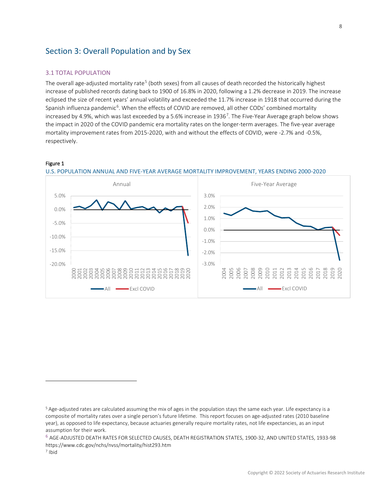# <span id="page-7-1"></span><span id="page-7-0"></span>Section 3: Overall Population and by Sex

# 3.1 TOTAL POPULATION

The overall age-adjusted mortality rate<sup>[5](#page-7-2)</sup> (both sexes) from all causes of death recorded the historically highest increase of published records dating back to 1900 of 16.8% in 2020, following a 1.2% decrease in 2019. The increase eclipsed the size of recent years' annual volatility and exceeded the 11.7% increase in 1918 that occurred during the Spanish influenza pandemic<sup>[6](#page-7-3)</sup>. When the effects of COVID are removed, all other CODs' combined mortality increased by 4.9%, which was last exceeded by a 5.6% increase in 1936<sup>[7](#page-7-4)</sup>. The Five-Year Average graph below shows the impact in 2020 of the COVID pandemic era mortality rates on the longer-term averages. The five-year average mortality improvement rates from 2015-2020, with and without the effects of COVID, were -2.7% and -0.5%, respectively.

# Figure 1



## U.S. POPULATION ANNUAL AND FIVE-YEAR AVERAGE MORTALITY IMPROVEMENT, YEARS ENDING 2000-2020

<span id="page-7-2"></span><sup>5</sup> Age-adjusted rates are calculated assuming the mix of ages in the population stays the same each year. Life expectancy is a composite of mortality rates over a single person's future lifetime. This report focuses on age-adjusted rates (2010 baseline year), as opposed to life expectancy, because actuaries generally require mortality rates, not life expectancies, as an input assumption for their work.

<span id="page-7-3"></span><sup>6</sup> AGE-ADJUSTED DEATH RATES FOR SELECTED CAUSES, DEATH REGISTRATION STATES, 1900-32, AND UNITED STATES, 1933-98 https://www.cdc.gov/nchs/nvss/mortality/hist293.htm

<span id="page-7-4"></span><sup>7</sup> Ibid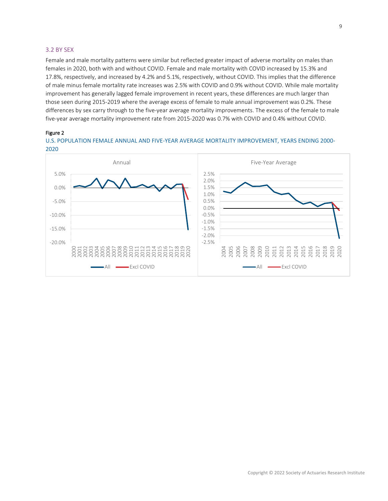## <span id="page-8-0"></span>3.2 BY SEX

Female and male mortality patterns were similar but reflected greater impact of adverse mortality on males than females in 2020, both with and without COVID. Female and male mortality with COVID increased by 15.3% and 17.8%, respectively, and increased by 4.2% and 5.1%, respectively, without COVID. This implies that the difference of male minus female mortality rate increases was 2.5% with COVID and 0.9% without COVID. While male mortality improvement has generally lagged female improvement in recent years, these differences are much larger than those seen during 2015-2019 where the average excess of female to male annual improvement was 0.2%. These differences by sex carry through to the five-year average mortality improvements. The excess of the female to male five-year average mortality improvement rate from 2015-2020 was 0.7% with COVID and 0.4% without COVID.

#### Figure 2

U.S. POPULATION FEMALE ANNUAL AND FIVE-YEAR AVERAGE MORTALITY IMPROVEMENT, YEARS ENDING 2000- 2020

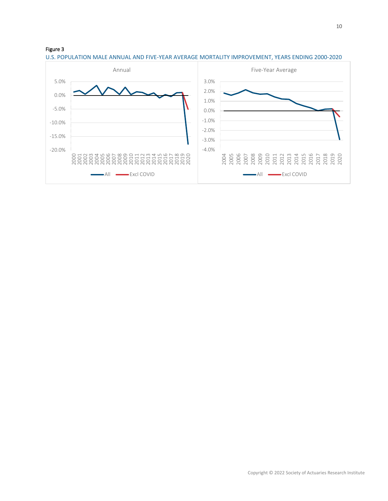

U.S. POPULATION MALE ANNUAL AND FIVE-YEAR AVERAGE MORTALITY IMPROVEMENT, YEARS ENDING 2000-2020

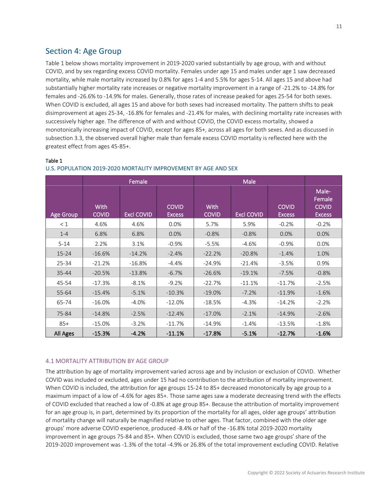# <span id="page-10-0"></span>Section 4: Age Group

Table 1 below shows mortality improvement in 2019-2020 varied substantially by age group, with and without COVID, and by sex regarding excess COVID mortality. Females under age 15 and males under age 1 saw decreased mortality, while male mortality increased by 0.8% for ages 1-4 and 5.5% for ages 5-14. All ages 15 and above had substantially higher mortality rate increases or negative mortality improvement in a range of -21.2% to -14.8% for females and -26.6% to -14.9% for males. Generally, those rates of increase peaked for ages 25-54 for both sexes. When COVID is excluded, all ages 15 and above for both sexes had increased mortality. The pattern shifts to peak disimprovement at ages 25-34, -16.8% for females and -21.4% for males, with declining mortality rate increases with successively higher age. The difference of with and without COVID, the COVID excess mortality, showed a monotonically increasing impact of COVID, except for ages 85+, across all ages for both sexes. And as discussed in subsection 3.3, the observed overall higher male than female excess COVID mortality is reflected here with the greatest effect from ages 45-85+.

|                  |                      | Female            |                               |                             |                   |                               |                                                  |
|------------------|----------------------|-------------------|-------------------------------|-----------------------------|-------------------|-------------------------------|--------------------------------------------------|
| <b>Age Group</b> | With<br><b>COVID</b> | <b>Excl COVID</b> | <b>COVID</b><br><b>Excess</b> | <b>With</b><br><b>COVID</b> | <b>Excl COVID</b> | <b>COVID</b><br><b>Excess</b> | Male-<br>Female<br><b>COVID</b><br><b>Excess</b> |
| < 1              | 4.6%                 | 4.6%              | 0.0%                          | 5.7%                        | 5.9%              | $-0.2%$                       | $-0.2%$                                          |
| $1 - 4$          | 6.8%                 | 6.8%              | 0.0%                          | $-0.8%$                     | $-0.8%$           | 0.0%                          | 0.0%                                             |
| $5 - 14$         | 2.2%                 | 3.1%              | $-0.9%$                       | $-5.5%$                     | $-4.6%$           | $-0.9%$                       | 0.0%                                             |
| $15 - 24$        | $-16.6%$             | $-14.2%$          | $-2.4%$                       | $-22.2%$                    | $-20.8%$          | $-1.4%$                       | 1.0%                                             |
| 25-34            | $-21.2%$             | $-16.8%$          | $-4.4%$                       | $-24.9%$                    | $-21.4%$          | $-3.5%$                       | 0.9%                                             |
| $35 - 44$        | $-20.5%$             | $-13.8%$          | $-6.7%$                       | $-26.6%$                    | $-19.1%$          | $-7.5%$                       | $-0.8%$                                          |
| 45-54            | $-17.3%$             | $-8.1%$           | $-9.2%$                       | $-22.7%$                    | $-11.1%$          | $-11.7%$                      | $-2.5%$                                          |
| 55-64            | $-15.4%$             | $-5.1%$           | $-10.3%$                      | $-19.0%$                    | $-7.2%$           | $-11.9%$                      | $-1.6%$                                          |
| 65-74            | $-16.0%$             | $-4.0%$           | $-12.0%$                      | $-18.5%$                    | $-4.3%$           | $-14.2%$                      | $-2.2%$                                          |
| 75-84            | $-14.8%$             | $-2.5%$           | $-12.4%$                      | $-17.0%$                    | $-2.1%$           | $-14.9%$                      | $-2.6%$                                          |
| $85+$            | $-15.0%$             | $-3.2%$           | $-11.7%$                      | $-14.9%$                    | $-1.4%$           | $-13.5%$                      | $-1.8%$                                          |
| All Ages         | $-15.3%$             | $-4.2%$           | $-11.1%$                      | $-17.8%$                    | $-5.1%$           | $-12.7%$                      | $-1.6%$                                          |

### Table 1 U.S. POPULATION 2019-2020 MORTALITY IMPROVEMENT BY AGE AND SEX

# <span id="page-10-1"></span>4.1 MORTALITY ATTRIBUTION BY AGE GROUP

The attribution by age of mortality improvement varied across age and by inclusion or exclusion of COVID. Whether COVID was included or excluded, ages under 15 had no contribution to the attribution of mortality improvement. When COVID is included, the attribution for age groups 15-24 to 85+ decreased monotonically by age group to a maximum impact of a low of -4.6% for ages 85+. Those same ages saw a moderate decreasing trend with the effects of COVID excluded that reached a low of -0.8% at age group 85+. Because the attribution of mortality improvement for an age group is, in part, determined by its proportion of the mortality for all ages, older age groups' attribution of mortality change will naturally be magnified relative to other ages. That factor, combined with the older age groups' more adverse COVID experience, produced -8.4% or half of the -16.8% total 2019-2020 mortality improvement in age groups 75-84 and 85+. When COVID is excluded, those same two age groups' share of the 2019-2020 improvement was -1.3% of the total -4.9% or 26.8% of the total improvement excluding COVID. Relative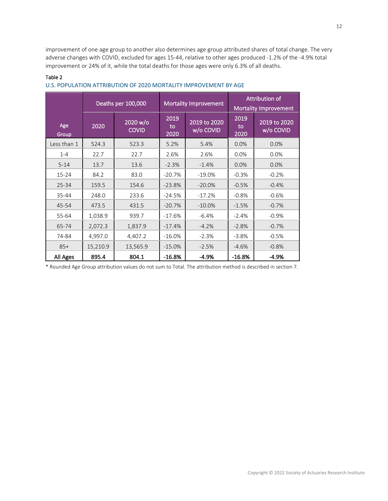improvement of one age group to another also determines age group attributed shares of total change. The very adverse changes with COVID, excluded for ages 15-44, relative to other ages produced -1.2% of the -4.9% total improvement or 24% of it, while the total deaths for those ages were only 6.3% of all deaths.

|              |          | Deaths per 100,000       | <b>Mortality Improvement</b> | Attribution of<br><b>Mortality Improvement</b> |                    |                           |
|--------------|----------|--------------------------|------------------------------|------------------------------------------------|--------------------|---------------------------|
| Age<br>Group | 2020     | 2020 w/o<br><b>COVID</b> | 2019<br>to<br>2020           | 2019 to 2020<br>w/o COVID                      | 2019<br>to<br>2020 | 2019 to 2020<br>w/o COVID |
| Less than 1  | 524.3    | 523.3                    | 5.2%                         | 5.4%                                           | 0.0%               | 0.0%                      |
| $1 - 4$      | 22.7     | 22.7                     | 2.6%                         | 2.6%                                           | 0.0%               | 0.0%                      |
| $5 - 14$     | 13.7     | 13.6                     | $-2.3%$                      | $-1.4%$                                        | 0.0%               | 0.0%                      |
| $15 - 24$    | 84.2     | 83.0                     | $-20.7%$                     | $-19.0%$                                       | $-0.3%$            | $-0.2%$                   |
| $25 - 34$    | 159.5    | 154.6                    | $-23.8%$                     | $-20.0%$                                       | $-0.5%$            | $-0.4%$                   |
| 35-44        | 248.0    | 233.6                    | $-24.5%$                     | $-17.2%$                                       | $-0.8%$            | $-0.6%$                   |
| 45-54        | 473.5    | 431.5                    | $-20.7%$                     | $-10.0\%$                                      | $-1.5%$            | $-0.7%$                   |
| 55-64        | 1,038.9  | 939.7                    | $-17.6%$                     | $-6.4%$                                        | $-2.4%$            | $-0.9%$                   |
| 65-74        | 2,072.3  | 1,837.9                  | $-17.4%$                     | $-4.2%$                                        | $-2.8%$            | $-0.7%$                   |
| 74-84        | 4,997.0  | 4,407.2                  | $-16.0%$                     | $-2.3%$                                        | $-3.8%$            | $-0.5%$                   |
| $85+$        | 15,210.9 | 13,565.9                 | $-15.0%$                     | $-2.5%$                                        | $-4.6%$            | $-0.8%$                   |
| All Ages     | 895.4    | 804.1                    | $-16.8%$                     | $-4.9%$                                        | $-16.8%$           | $-4.9%$                   |

# Table 2 U.S. POPULATION ATTRIBUTION OF 2020 MORTALITY IMPROVEMENT BY AGE

\* Rounded Age Group attribution values do not sum to Total. The attribution method is described in section 7.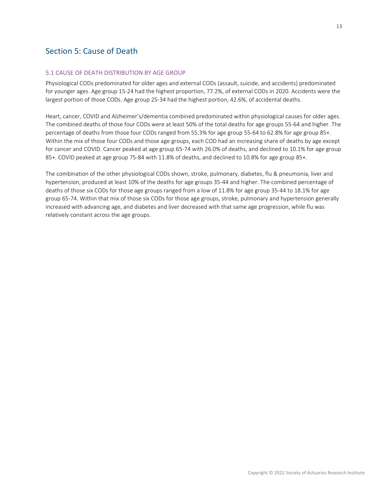# <span id="page-12-0"></span>Section 5: Cause of Death

# <span id="page-12-1"></span>5.1 CAUSE OF DEATH DISTRIBUTION BY AGE GROUP

Physiological CODs predominated for older ages and external CODs (assault, suicide, and accidents) predominated for younger ages. Age group 15-24 had the highest proportion, 77.2%, of external CODs in 2020. Accidents were the largest portion of those CODs. Age group 25-34 had the highest portion, 42.6%, of accidental deaths.

Heart, cancer, COVID and Alzheimer's/dementia combined predominated within physiological causes for older ages. The combined deaths of those four CODs were at least 50% of the total deaths for age groups 55-64 and higher. The percentage of deaths from those four CODs ranged from 55.3% for age group 55-64 to 62.8% for age group 85+. Within the mix of those four CODs and those age groups, each COD had an increasing share of deaths by age except for cancer and COVID. Cancer peaked at age group 65-74 with 26.0% of deaths, and declined to 10.1% for age group 85+. COVID peaked at age group 75-84 with 11.8% of deaths, and declined to 10.8% for age group 85+.

The combination of the other physiological CODs shown, stroke, pulmonary, diabetes, flu & pneumonia, liver and hypertension, produced at least 10% of the deaths for age groups 35-44 and higher. The combined percentage of deaths of those six CODs for those age groups ranged from a low of 11.8% for age group 35-44 to 18.1% for age group 65-74. Within that mix of those six CODs for those age groups, stroke, pulmonary and hypertension generally increased with advancing age, and diabetes and liver decreased with that same age progression, while flu was relatively constant across the age groups.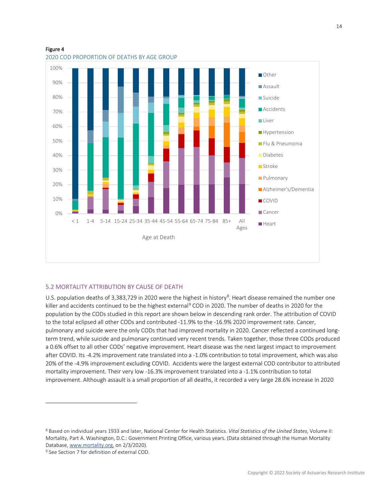

# Figure 4

# <span id="page-13-0"></span>5.2 MORTALITY ATTRIBUTION BY CAUSE OF DEATH

U.S. population deaths of 3,3[8](#page-13-1)3,729 in 2020 were the highest in history<sup>8</sup>. Heart disease remained the number one killer and accidents continued to be the highest external<sup>[9](#page-13-2)</sup> COD in 2020. The number of deaths in 2020 for the population by the CODs studied in this report are shown below in descending rank order. The attribution of COVID to the total eclipsed all other CODs and contributed -11.9% to the -16.9% 2020 improvement rate. Cancer, pulmonary and suicide were the only CODs that had improved mortality in 2020. Cancer reflected a continued longterm trend, while suicide and pulmonary continued very recent trends. Taken together, those three CODs produced a 0.6% offset to all other CODs' negative improvement. Heart disease was the next largest impact to improvement after COVID. Its -4.2% improvement rate translated into a -1.0% contribution to total improvement, which was also 20% of the -4.9% improvement excluding COVID. Accidents were the largest external COD contributor to attributed mortality improvement. Their very low -16.3% improvement translated into a -1.1% contribution to total improvement. Although assault is a small proportion of all deaths, it recorded a very large 28.6% increase in 2020

<span id="page-13-1"></span><sup>8</sup> Based on individual years 1933 and later, National Center for Health Statistics. *Vital Statistics of the United States*, Volume II: Mortality, Part A. Washington, D.C.: Government Printing Office, various years. (Data obtained through the Human Mortality Database, [www.mortality.org,](http://www.mortality.org/) on 2/3/2020).

<span id="page-13-2"></span><sup>&</sup>lt;sup>9</sup> See Section 7 for definition of external COD.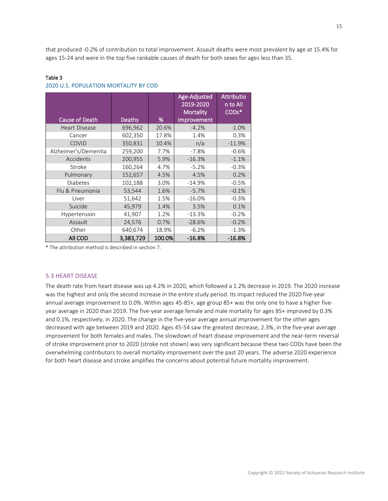that produced -0.2% of contribution to total improvement. Assault deaths were most prevalent by age at 15.4% for ages 15-24 and were in the top five rankable causes of death for both sexes for ages less than 35.

|                      |               |        | Age-Adjusted<br>2019-2020<br><b>Mortality</b> | <b>Attributio</b><br>n to All<br>COD <sub>s</sub> * |
|----------------------|---------------|--------|-----------------------------------------------|-----------------------------------------------------|
| Cause of Death       | <b>Deaths</b> | %      | Improvement                                   |                                                     |
| <b>Heart Disease</b> | 696,962       | 20.6%  | $-4.2%$                                       | $-1.0%$                                             |
| Cancer               | 602,350       | 17.8%  | 1.4%                                          | 0.3%                                                |
| <b>COVID</b>         | 350,831       | 10.4%  | n/a                                           | $-11.9%$                                            |
| Alzheimer's/Dementia | 259,200       | 7.7%   | $-7.8%$                                       | $-0.6%$                                             |
| Accidents            | 200,955       | 5.9%   | $-16.3%$                                      | $-1.1%$                                             |
| Stroke               | 160,264       | 4.7%   | $-5.2%$                                       | $-0.3%$                                             |
| Pulmonary            | 152,657       | 4.5%   | 4.5%                                          | 0.2%                                                |
| <b>Diabetes</b>      | 102,188       | 3.0%   | $-14.9%$                                      | $-0.5%$                                             |
| Flu & Pneumonia      | 53,544        | 1.6%   | $-5.7%$                                       | $-0.1%$                                             |
| Liver                | 51,642        | 1.5%   | $-16.0%$                                      | $-0.3%$                                             |
| Suicide              | 45,979        | 1.4%   | 3.5%                                          | 0.1%                                                |
| Hypertension         | 41,907        | 1.2%   | $-13.3%$                                      | $-0.2%$                                             |
| Assault              | 24,576        | 0.7%   | $-28.6%$                                      | $-0.2%$                                             |
| Other                | 640,674       | 18.9%  | $-6.2%$                                       | $-1.3%$                                             |
| All COD              | 3,383,729     | 100.0% | $-16.8%$                                      | $-16.8%$                                            |

# Table 3 2020 U.S. POPULATION MORTALITY BY COD

\* The attribution method is described in section 7.

# <span id="page-14-0"></span>5.3 HEART DISEASE

The death rate from heart disease was up 4.2% in 2020, which followed a 1.2% decrease in 2019. The 2020 increase was the highest and only the second increase in the entire study period. Its impact reduced the 2020 five-year annual average improvement to 0.0%. Within ages 45-85+, age group 85+ was the only one to have a higher fiveyear average in 2020 than 2019. The five-year average female and male mortality for ages 85+ improved by 0.3% and 0.1%, respectively, in 2020. The change in the five-year average annual improvement for the other ages decreased with age between 2019 and 2020. Ages 45-54 saw the greatest decrease, 2.3%, in the five-year average improvement for both females and males. The slowdown of heart disease improvement and the near-term reversal of stroke improvement prior to 2020 (stroke not shown) was very significant because these two CODs have been the overwhelming contributors to overall mortality improvement over the past 20 years. The adverse 2020 experience for both heart disease and stroke amplifies the concerns about potential future mortality improvement.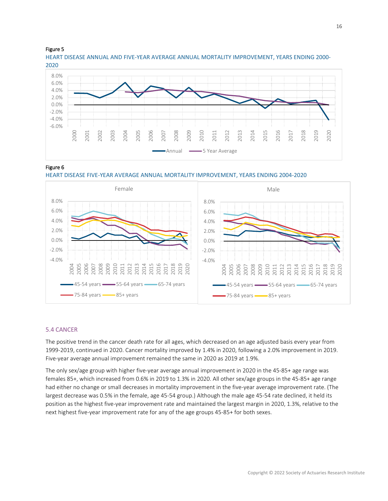## Figure 5

HEART DISEASE ANNUAL AND FIVE-YEAR AVERAGE ANNUAL MORTALITY IMPROVEMENT, YEARS ENDING 2000- 2020



# Figure 6





#### <span id="page-15-0"></span>5.4 CANCER

The positive trend in the cancer death rate for all ages, which decreased on an age adjusted basis every year from 1999-2019, continued in 2020. Cancer mortality improved by 1.4% in 2020, following a 2.0% improvement in 2019. Five-year average annual improvement remained the same in 2020 as 2019 at 1.9%.

The only sex/age group with higher five-year average annual improvement in 2020 in the 45-85+ age range was females 85+, which increased from 0.6% in 2019 to 1.3% in 2020. All other sex/age groups in the 45-85+ age range had either no change or small decreases in mortality improvement in the five-year average improvement rate. (The largest decrease was 0.5% in the female, age 45-54 group.) Although the male age 45-54 rate declined, it held its position as the highest five-year improvement rate and maintained the largest margin in 2020, 1.3%, relative to the next highest five-year improvement rate for any of the age groups 45-85+ for both sexes.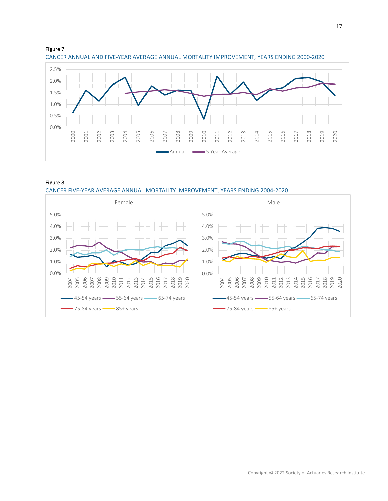





CANCER FIVE-YEAR AVERAGE ANNUAL MORTALITY IMPROVEMENT, YEARS ENDING 2004-2020

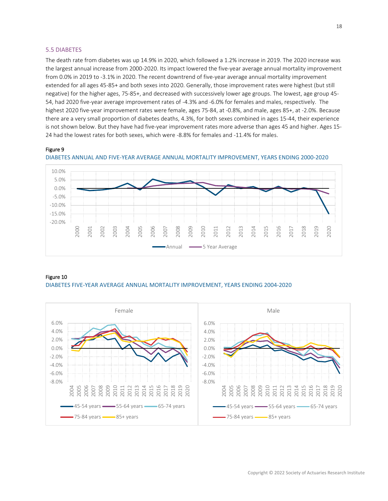## <span id="page-17-0"></span>5.5 DIABETES

The death rate from diabetes was up 14.9% in 2020, which followed a 1.2% increase in 2019. The 2020 increase was the largest annual increase from 2000-2020. Its impact lowered the five-year average annual mortality improvement from 0.0% in 2019 to -3.1% in 2020. The recent downtrend of five-year average annual mortality improvement extended for all ages 45-85+ and both sexes into 2020. Generally, those improvement rates were highest (but still negative) for the higher ages, 75-85+, and decreased with successively lower age groups. The lowest, age group 45- 54, had 2020 five-year average improvement rates of -4.3% and -6.0% for females and males, respectively. The highest 2020 five-year improvement rates were female, ages 75-84, at -0.8%, and male, ages 85+, at -2.0%. Because there are a very small proportion of diabetes deaths, 4.3%, for both sexes combined in ages 15-44, their experience is not shown below. But they have had five-year improvement rates more adverse than ages 45 and higher. Ages 15- 24 had the lowest rates for both sexes, which were -8.8% for females and -11.4% for males.

# Figure 9





#### Figure 10

DIABETES FIVE-YEAR AVERAGE ANNUAL MORTALITY IMPROVEMENT, YEARS ENDING 2004-2020

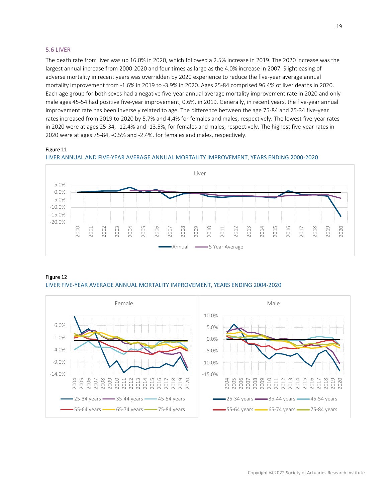## <span id="page-18-0"></span>5.6 LIVER

The death rate from liver was up 16.0% in 2020, which followed a 2.5% increase in 2019. The 2020 increase was the largest annual increase from 2000-2020 and four times as large as the 4.0% increase in 2007. Slight easing of adverse mortality in recent years was overridden by 2020 experience to reduce the five-year average annual mortality improvement from -1.6% in 2019 to -3.9% in 2020. Ages 25-84 comprised 96.4% of liver deaths in 2020. Each age group for both sexes had a negative five-year annual average mortality improvement rate in 2020 and only male ages 45-54 had positive five-year improvement, 0.6%, in 2019. Generally, in recent years, the five-year annual improvement rate has been inversely related to age. The difference between the age 75-84 and 25-34 five-year rates increased from 2019 to 2020 by 5.7% and 4.4% for females and males, respectively. The lowest five-year rates in 2020 were at ages 25-34, -12.4% and -13.5%, for females and males, respectively. The highest five-year rates in 2020 were at ages 75-84, -0.5% and -2.4%, for females and males, respectively.

# Figure 11





#### Figure 12

LIVER FIVE-YEAR AVERAGE ANNUAL MORTALITY IMPROVEMENT, YEARS ENDING 2004-2020

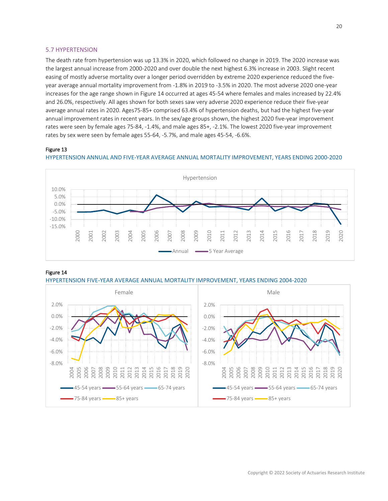# <span id="page-19-0"></span>5.7 HYPERTENSION

The death rate from hypertension was up 13.3% in 2020, which followed no change in 2019. The 2020 increase was the largest annual increase from 2000-2020 and over double the next highest 6.3% increase in 2003. Slight recent easing of mostly adverse mortality over a longer period overridden by extreme 2020 experience reduced the fiveyear average annual mortality improvement from -1.8% in 2019 to -3.5% in 2020. The most adverse 2020 one-year increases for the age range shown in Figure 14 occurred at ages 45-54 where females and males increased by 22.4% and 26.0%, respectively. All ages shown for both sexes saw very adverse 2020 experience reduce their five-year average annual rates in 2020. Ages75-85+ comprised 63.4% of hypertension deaths, but had the highest five-year annual improvement rates in recent years. In the sex/age groups shown, the highest 2020 five-year improvement rates were seen by female ages 75-84, -1.4%, and male ages 85+, -2.1%. The lowest 2020 five-year improvement rates by sex were seen by female ages 55-64, -5.7%, and male ages 45-54, -6.6%.

## Figure 13





#### Figure 14



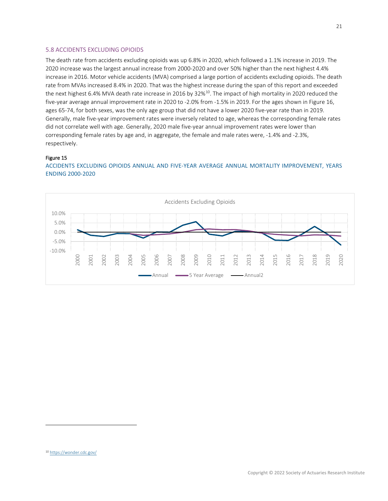# <span id="page-20-0"></span>5.8 ACCIDENTS EXCLUDING OPIOIDS

The death rate from accidents excluding opioids was up 6.8% in 2020, which followed a 1.1% increase in 2019. The 2020 increase was the largest annual increase from 2000-2020 and over 50% higher than the next highest 4.4% increase in 2016. Motor vehicle accidents (MVA) comprised a large portion of accidents excluding opioids. The death rate from MVAs increased 8.4% in 2020. That was the highest increase during the span of this report and exceeded the next highest 6.4% MVA death rate increase in 2016 by 32%<sup>[10](#page-20-1)</sup>. The impact of high mortality in 2020 reduced the five-year average annual improvement rate in 2020 to -2.0% from -1.5% in 2019. For the ages shown in Figure 16, ages 65-74, for both sexes, was the only age group that did not have a lower 2020 five-year rate than in 2019. Generally, male five-year improvement rates were inversely related to age, whereas the corresponding female rates did not correlate well with age. Generally, 2020 male five-year annual improvement rates were lower than corresponding female rates by age and, in aggregate, the female and male rates were, -1.4% and -2.3%, respectively.

#### Figure 15

# ACCIDENTS EXCLUDING OPIOIDS ANNUAL AND FIVE-YEAR AVERAGE ANNUAL MORTALITY IMPROVEMENT, YEARS ENDING 2000-2020

<span id="page-20-1"></span>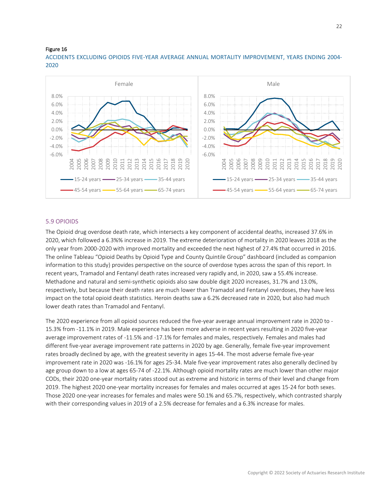#### Figure 16

ACCIDENTS EXCLUDING OPIOIDS FIVE-YEAR AVERAGE ANNUAL MORTALITY IMPROVEMENT, YEARS ENDING 2004- 2020



## <span id="page-21-0"></span>5.9 OPIOIDS

The Opioid drug overdose death rate, which intersects a key component of accidental deaths, increased 37.6% in 2020, which followed a 6.3%% increase in 2019. The extreme deterioration of mortality in 2020 leaves 2018 as the only year from 2000-2020 with improved mortality and exceeded the next highest of 27.4% that occurred in 2016. The online Tableau "Opioid Deaths by Opioid Type and County Quintile Group" dashboard (included as companion information to this study) provides perspective on the source of overdose types across the span of this report. In recent years, Tramadol and Fentanyl death rates increased very rapidly and, in 2020, saw a 55.4% increase. Methadone and natural and semi-synthetic opioids also saw double digit 2020 increases, 31.7% and 13.0%, respectively, but because their death rates are much lower than Tramadol and Fentanyl overdoses, they have less impact on the total opioid death statistics. Heroin deaths saw a 6.2% decreased rate in 2020, but also had much lower death rates than Tramadol and Fentanyl.

The 2020 experience from all opioid sources reduced the five-year average annual improvement rate in 2020 to - 15.3% from -11.1% in 2019. Male experience has been more adverse in recent years resulting in 2020 five-year average improvement rates of -11.5% and -17.1% for females and males, respectively. Females and males had different five-year average improvement rate patterns in 2020 by age. Generally, female five-year improvement rates broadly declined by age, with the greatest severity in ages 15-44. The most adverse female five-year improvement rate in 2020 was -16.1% for ages 25-34. Male five-year improvement rates also generally declined by age group down to a low at ages 65-74 of -22.1%. Although opioid mortality rates are much lower than other major CODs, their 2020 one-year mortality rates stood out as extreme and historic in terms of their level and change from 2019. The highest 2020 one-year mortality increases for females and males occurred at ages 15-24 for both sexes. Those 2020 one-year increases for females and males were 50.1% and 65.7%, respectively, which contrasted sharply with their corresponding values in 2019 of a 2.5% decrease for females and a 6.3% increase for males.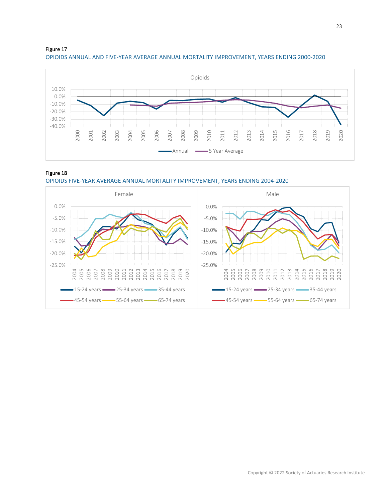



# Figure 18



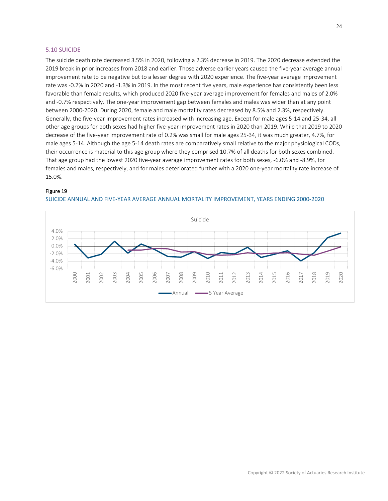## <span id="page-23-0"></span>5.10 SUICIDE

The suicide death rate decreased 3.5% in 2020, following a 2.3% decrease in 2019. The 2020 decrease extended the 2019 break in prior increases from 2018 and earlier. Those adverse earlier years caused the five-year average annual improvement rate to be negative but to a lesser degree with 2020 experience. The five-year average improvement rate was -0.2% in 2020 and -1.3% in 2019. In the most recent five years, male experience has consistently been less favorable than female results, which produced 2020 five-year average improvement for females and males of 2.0% and -0.7% respectively. The one-year improvement gap between females and males was wider than at any point between 2000-2020. During 2020, female and male mortality rates decreased by 8.5% and 2.3%, respectively. Generally, the five-year improvement rates increased with increasing age. Except for male ages 5-14 and 25-34, all other age groups for both sexes had higher five-year improvement rates in 2020 than 2019. While that 2019 to 2020 decrease of the five-year improvement rate of 0.2% was small for male ages 25-34, it was much greater, 4.7%, for male ages 5-14. Although the age 5-14 death rates are comparatively small relative to the major physiological CODs, their occurrence is material to this age group where they comprised 10.7% of all deaths for both sexes combined. That age group had the lowest 2020 five-year average improvement rates for both sexes, -6.0% and -8.9%, for females and males, respectively, and for males deteriorated further with a 2020 one-year mortality rate increase of 15.0%.

# Figure 19



SUICIDE ANNUAL AND FIVE-YEAR AVERAGE ANNUAL MORTALITY IMPROVEMENT, YEARS ENDING 2000-2020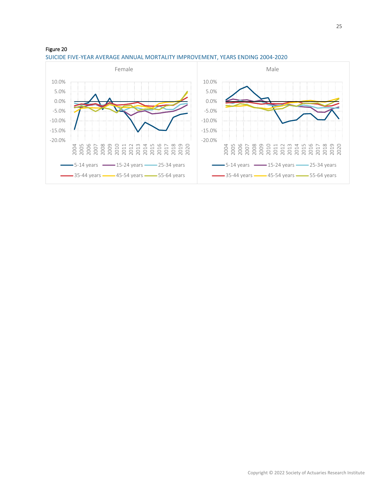

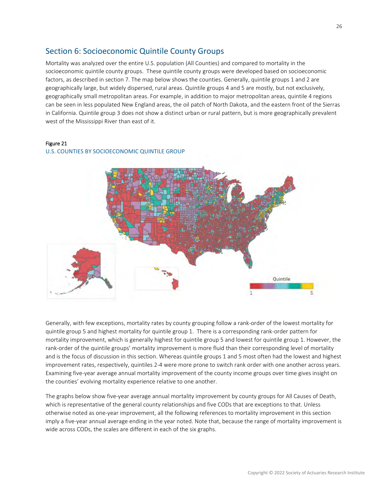# <span id="page-25-0"></span>Section 6: Socioeconomic Quintile County Groups

Mortality was analyzed over the entire U.S. population (All Counties) and compared to mortality in the socioeconomic quintile county groups. These quintile county groups were developed based on socioeconomic factors, as described in section 7. The map below shows the counties. Generally, quintile groups 1 and 2 are geographically large, but widely dispersed, rural areas. Quintile groups 4 and 5 are mostly, but not exclusively, geographically small metropolitan areas. For example, in addition to major metropolitan areas, quintile 4 regions can be seen in less populated New England areas, the oil patch of North Dakota, and the eastern front of the Sierras in California. Quintile group 3 does not show a distinct urban or rural pattern, but is more geographically prevalent west of the Mississippi River than east of it.

#### Figure 21



U.S. COUNTIES BY SOCIOECONOMIC QUINTILE GROUP

Generally, with few exceptions, mortality rates by county grouping follow a rank-order of the lowest mortality for quintile group 5 and highest mortality for quintile group 1. There is a corresponding rank-order pattern for mortality improvement, which is generally highest for quintile group 5 and lowest for quintile group 1. However, the rank-order of the quintile groups' mortality improvement is more fluid than their corresponding level of mortality and is the focus of discussion in this section. Whereas quintile groups 1 and 5 most often had the lowest and highest improvement rates, respectively, quintiles 2-4 were more prone to switch rank order with one another across years. Examining five-year average annual mortality improvement of the county income groups over time gives insight on the counties' evolving mortality experience relative to one another.

The graphs below show five-year average annual mortality improvement by county groups for All Causes of Death, which is representative of the general county relationships and five CODs that are exceptions to that. Unless otherwise noted as one-year improvement, all the following references to mortality improvement in this section imply a five-year annual average ending in the year noted. Note that, because the range of mortality improvement is wide across CODs, the scales are different in each of the six graphs.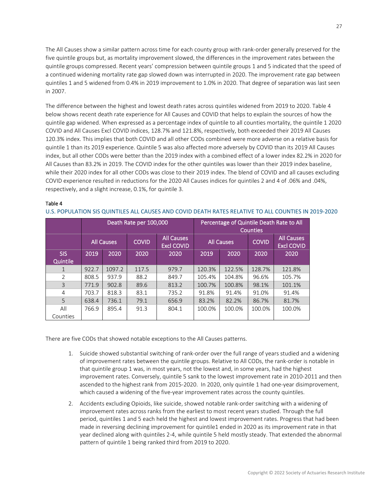The All Causes show a similar pattern across time for each county group with rank-order generally preserved for the five quintile groups but, as mortality improvement slowed, the differences in the improvement rates between the quintile groups compressed. Recent years' compression between quintile groups 1 and 5 indicated that the speed of a continued widening mortality rate gap slowed down was interrupted in 2020. The improvement rate gap between quintiles 1 and 5 widened from 0.4% in 2019 improvement to 1.0% in 2020. That degree of separation was last seen in 2007.

The difference between the highest and lowest death rates across quintiles widened from 2019 to 2020. Table 4 below shows recent death rate experience for All Causes and COVID that helps to explain the sources of how the quintile gap widened. When expressed as a percentage index of quintile to all counties mortality, the quintile 1 2020 COVID and All Causes Excl COVID indices, 128.7% and 121.8%, respectively, both exceeded their 2019 All Causes 120.3% index. This implies that both COVID and all other CODs combined were more adverse on a relative basis for quintile 1 than its 2019 experience. Quintile 5 was also affected more adversely by COVID than its 2019 All Causes index, but all other CODs were better than the 2019 index with a combined effect of a lower index 82.2% in 2020 for All Causes than 83.2% in 2019. The COVID index for the other quintiles was lower than their 2019 index baseline, while their 2020 index for all other CODs was close to their 2019 index. The blend of COVID and all causes excluding COVID experience resulted in reductions for the 2020 All Causes indices for quintiles 2 and 4 of .06% and .04%, respectively, and a slight increase, 0.1%, for quintile 3.

## Table 4

#### U.S. POPULATION SIS QUINTILES ALL CAUSES AND COVID DEATH RATES RELATIVE TO ALL COUNTIES IN 2019-2020

|                        | Death Rate per 100,000 |        |              |                                        | Percentage of Quintile Death Rate to All<br><b>Counties</b> |        |              |                                        |
|------------------------|------------------------|--------|--------------|----------------------------------------|-------------------------------------------------------------|--------|--------------|----------------------------------------|
|                        | <b>All Causes</b>      |        | <b>COVID</b> | <b>All Causes</b><br><b>Excl COVID</b> | <b>All Causes</b>                                           |        | <b>COVID</b> | <b>All Causes</b><br><b>Excl COVID</b> |
| <b>SIS</b><br>Quintile | 2019                   | 2020   | 2020         | 2020                                   | 2019                                                        | 2020   | 2020         | 2020                                   |
| $\mathbf{1}$           | 922.7                  | 1097.2 | 117.5        | 979.7                                  | 120.3%                                                      | 122.5% | 128.7%       | 121.8%                                 |
| $\overline{2}$         | 808.5                  | 937.9  | 88.2         | 849.7                                  | 105.4%                                                      | 104.8% | 96.6%        | 105.7%                                 |
| 3                      | 771.9                  | 902.8  | 89.6         | 813.2                                  | 100.7%                                                      | 100.8% | 98.1%        | 101.1%                                 |
| 4                      | 703.7                  | 818.3  | 83.1         | 735.2                                  | 91.8%                                                       | 91.4%  | 91.0%        | 91.4%                                  |
| 5                      | 638.4                  | 736.1  | 79.1         | 656.9                                  | 83.2%                                                       | 82.2%  | 86.7%        | 81.7%                                  |
| All<br>Counties        | 766.9                  | 895.4  | 91.3         | 804.1                                  | 100.0%                                                      | 100.0% | 100.0%       | 100.0%                                 |

There are five CODs that showed notable exceptions to the All Causes patterns.

- 1. Suicide showed substantial switching of rank-order over the full range of years studied and a widening of improvement rates between the quintile groups. Relative to All CODs, the rank-order is notable in that quintile group 1 was, in most years, not the lowest and, in some years, had the highest improvement rates. Conversely, quintile 5 sank to the lowest improvement rate in 2010-2011 and then ascended to the highest rank from 2015-2020. In 2020, only quintile 1 had one-year disimprovement, which caused a widening of the five-year improvement rates across the county quintiles.
- 2. Accidents excluding Opioids, like suicide, showed notable rank-order switching with a widening of improvement rates across ranks from the earliest to most recent years studied. Through the full period, quintiles 1 and 5 each held the highest and lowest improvement rates. Progress that had been made in reversing declining improvement for quintile1 ended in 2020 as its improvement rate in that year declined along with quintiles 2-4, while quintile 5 held mostly steady. That extended the abnormal pattern of quintile 1 being ranked third from 2019 to 2020.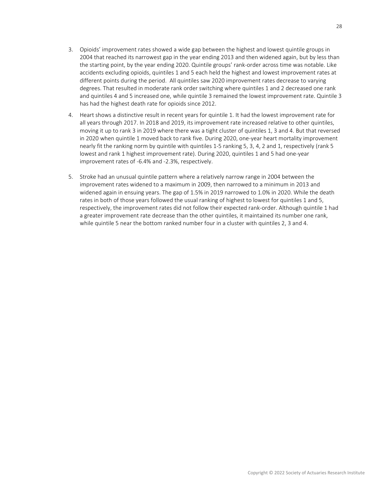- 3. Opioids' improvement rates showed a wide gap between the highest and lowest quintile groups in 2004 that reached its narrowest gap in the year ending 2013 and then widened again, but by less than the starting point, by the year ending 2020. Quintile groups' rank-order across time was notable. Like accidents excluding opioids, quintiles 1 and 5 each held the highest and lowest improvement rates at different points during the period. All quintiles saw 2020 improvement rates decrease to varying degrees. That resulted in moderate rank order switching where quintiles 1 and 2 decreased one rank and quintiles 4 and 5 increased one, while quintile 3 remained the lowest improvement rate. Quintile 3 has had the highest death rate for opioids since 2012.
- 4. Heart shows a distinctive result in recent years for quintile 1. It had the lowest improvement rate for all years through 2017. In 2018 and 2019, its improvement rate increased relative to other quintiles, moving it up to rank 3 in 2019 where there was a tight cluster of quintiles 1, 3 and 4. But that reversed in 2020 when quintile 1 moved back to rank five. During 2020, one-year heart mortality improvement nearly fit the ranking norm by quintile with quintiles 1-5 ranking 5, 3, 4, 2 and 1, respectively (rank 5 lowest and rank 1 highest improvement rate). During 2020, quintiles 1 and 5 had one-year improvement rates of -6.4% and -2.3%, respectively.
- 5. Stroke had an unusual quintile pattern where a relatively narrow range in 2004 between the improvement rates widened to a maximum in 2009, then narrowed to a minimum in 2013 and widened again in ensuing years. The gap of 1.5% in 2019 narrowed to 1.0% in 2020. While the death rates in both of those years followed the usual ranking of highest to lowest for quintiles 1 and 5, respectively, the improvement rates did not follow their expected rank-order. Although quintile 1 had a greater improvement rate decrease than the other quintiles, it maintained its number one rank, while quintile 5 near the bottom ranked number four in a cluster with quintiles 2, 3 and 4.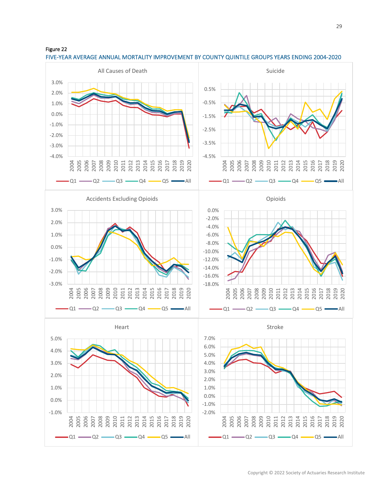



# FIVE-YEAR AVERAGE ANNUAL MORTALITY IMPROVEMENT BY COUNTY QUINTILE GROUPS YEARS ENDING 2004-2020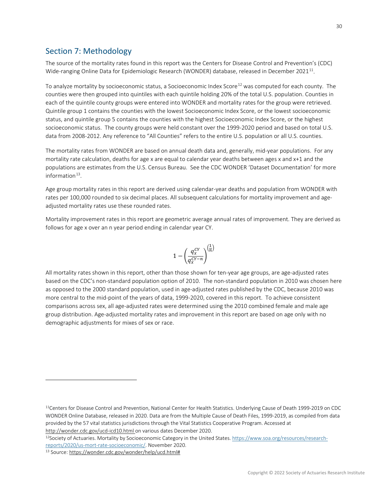# <span id="page-29-0"></span>Section 7: Methodology

The source of the mortality rates found in this report was the Centers for Disease Control and Prevention's (CDC) Wide-ranging Online Data for Epidemiologic Research (WONDER) database, released in December 2021<sup>11</sup>.

To analyze mortality by socioeconomic status, a Socioeconomic Index Score<sup>[12](#page-29-2)</sup> was computed for each county. The counties were then grouped into quintiles with each quintile holding 20% of the total U.S. population. Counties in each of the quintile county groups were entered into WONDER and mortality rates for the group were retrieved. Quintile group 1 contains the counties with the lowest Socioeconomic Index Score, or the lowest socioeconomic status, and quintile group 5 contains the counties with the highest Socioeconomic Index Score, or the highest socioeconomic status. The county groups were held constant over the 1999-2020 period and based on total U.S. data from 2008-2012. Any reference to "All Counties" refers to the entire U.S. population or all U.S. counties.

The mortality rates from WONDER are based on annual death data and, generally, mid-year populations. For any mortality rate calculation, deaths for age x are equal to calendar year deaths between ages x and x+1 and the populations are estimates from the U.S. Census Bureau. See the CDC WONDER 'Dataset Documentation' for more information $13$ .

Age group mortality rates in this report are derived using calendar-year deaths and population from WONDER with rates per 100,000 rounded to six decimal places. All subsequent calculations for mortality improvement and ageadjusted mortality rates use these rounded rates.

Mortality improvement rates in this report are geometric average annual rates of improvement. They are derived as follows for age x over an n year period ending in calendar year CY.

$$
1 - \left(\frac{q_x^{CY}}{q_x^{CY-n}}\right)^{\left(\frac{1}{n}\right)}
$$

All mortality rates shown in this report, other than those shown for ten-year age groups, are age-adjusted rates based on the CDC's non-standard population option of 2010. The non-standard population in 2010 was chosen here as opposed to the 2000 standard population, used in age-adjusted rates published by the CDC, because 2010 was more central to the mid-point of the years of data, 1999-2020, covered in this report. To achieve consistent comparisons across sex, all age-adjusted rates were determined using the 2010 combined female and male age group distribution. Age-adjusted mortality rates and improvement in this report are based on age only with no demographic adjustments for mixes of sex or race.

<span id="page-29-1"></span><sup>11</sup>Centers for Disease Control and Prevention, National Center for Health Statistics. Underlying Cause of Death 1999-2019 on CDC WONDER Online Database, released in 2020. Data are from the Multiple Cause of Death Files, 1999-2019, as compiled from data provided by the 57 vital statistics jurisdictions through the Vital Statistics Cooperative Program. Accessed at <http://wonder.cdc.gov/ucd-icd10.html> on various dates December 2020.

<span id="page-29-2"></span><sup>&</sup>lt;sup>12</sup>Society of Actuaries. Mortality by Socioeconomic Category in the United States. [https://www.soa.org/resources/research](https://www.soa.org/resources/research-reports/2020/us-mort-rate-socioeconomic/)[reports/2020/us-mort-rate-socioeconomic/.](https://www.soa.org/resources/research-reports/2020/us-mort-rate-socioeconomic/) November 2020.

<span id="page-29-3"></span><sup>13</sup> Source[: https://wonder.cdc.gov/wonder/help/ucd.html#](https://wonder.cdc.gov/wonder/help/ucd.html)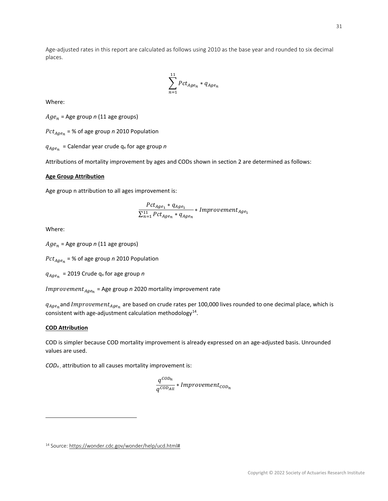Age-adjusted rates in this report are calculated as follows using 2010 as the base year and rounded to six decimal places.

$$
\sum_{n=1}^{11} Pct_{Age_n} * q_{Age_n}
$$

Where:

 $Age_n$  = Age group *n* (11 age groups)

 $Pct_{Age_n}$  = % of age group *n* 2010 Population

 $q_{A}_{\text{a}e_{n}}$  = Calendar year crude  $q_{x}$  for age group *n* 

Attributions of mortality improvement by ages and CODs shown in section 2 are determined as follows:

### **Age Group Attribution**

Age group n attribution to all ages improvement is:

$$
\frac{Pct_{Age_1} * q_{Age_1}}{\sum_{n=1}^{11} Pct_{Age_n} * q_{Age_n}} * Improvement_{Age_1}
$$

Where:

 $Age_n$  = Age group *n* (11 age groups)

 $Pct_{Age_n}$  = % of age group *n* 2010 Population

 $q_{Age_n}$  = 2019 Crude  $q_x$  for age group *n* 

 $Improvement_{Age_n}$  = Age group *n* 2020 mortality improvement rate

 $q_{Age_n}$ and Improvement<sub>Agen</sub> are based on crude rates per 100,000 lives rounded to one decimal place, which is consistent with age-adjustment calculation methodology<sup>[14](#page-30-0)</sup>.

# **COD Attribution**

COD is simpler because COD mortality improvement is already expressed on an age-adjusted basis. Unrounded values are used.

*CODn* , attribution to all causes mortality improvement is:

$$
\frac{q^{COD_n}}{q^{COD_{All}}} * Improvement_{COD_n}
$$

<span id="page-30-0"></span><sup>14</sup> Source[: https://wonder.cdc.gov/wonder/help/ucd.html#](https://wonder.cdc.gov/wonder/help/ucd.html)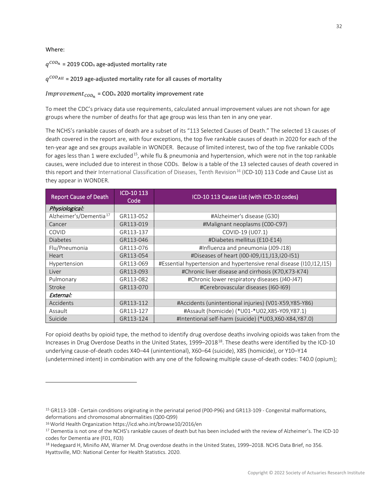## Where:

# $q^{COD_n}$  = 2019 COD<sub>n</sub> age-adjusted mortality rate

# $q^{COD_{All}}$  = 2019 age-adjusted mortality rate for all causes of mortality

# $Improvement_{COD_n}$  = COD<sub>n</sub> 2020 mortality improvement rate

To meet the CDC's privacy data use requirements, calculated annual improvement values are not shown for age groups where the number of deaths for that age group was less than ten in any one year.

The NCHS's rankable causes of death are a subset of its "113 Selected Causes of Death." The selected 13 causes of death covered in the report are, with four exceptions, the top five rankable causes of death in 2020 for each of the ten-year age and sex groups available in WONDER. Because of limited interest, two of the top five rankable CODs for ages less than 1 were excluded<sup>[15](#page-31-0)</sup>, while flu & pneumonia and hypertension, which were not in the top rankable causes, were included due to interest in those CODs. Below is a table of the 13 selected causes of death covered in this report and their International Classification of Diseases, Tenth Revision<sup>16</sup> (ICD-10) 113 Code and Cause List as they appear in WONDER.

| <b>Report Cause of Death</b>       | ICD-10 113<br>Code | ICD-10 113 Cause List (with ICD-10 codes)                            |  |  |
|------------------------------------|--------------------|----------------------------------------------------------------------|--|--|
| Physiological:                     |                    |                                                                      |  |  |
| Alzheimer's/Dementia <sup>17</sup> | GR113-052          | #Alzheimer's disease (G30)                                           |  |  |
| Cancer                             | GR113-019          | #Malignant neoplasms (C00-C97)                                       |  |  |
| <b>COVID</b>                       | GR113-137          | COVID-19 (U07.1)                                                     |  |  |
| <b>Diabetes</b>                    | GR113-046          | #Diabetes mellitus (E10-E14)                                         |  |  |
| Flu/Pneumonia                      | GR113-076          | #Influenza and pneumonia (J09-J18)                                   |  |  |
| Heart                              | GR113-054          | #Diseases of heart (I00-I09, 111, 113, 120-151)                      |  |  |
| Hypertension                       | GR113-069          | #Essential hypertension and hypertensive renal disease (110,112,115) |  |  |
| Liver                              | GR113-093          | #Chronic liver disease and cirrhosis (K70, K73-K74)                  |  |  |
| Pulmonary                          | GR113-082          | #Chronic lower respiratory diseases (J40-J47)                        |  |  |
| Stroke                             | GR113-070          | #Cerebrovascular diseases (I60-I69)                                  |  |  |
| External:                          |                    |                                                                      |  |  |
| Accidents                          | GR113-112          | #Accidents (unintentional injuries) (V01-X59, Y85-Y86)               |  |  |
| Assault                            | GR113-127          | #Assault (homicide) (*U01-*U02,X85-Y09,Y87.1)                        |  |  |
| Suicide                            | GR113-124          | #Intentional self-harm (suicide) (*U03,X60-X84,Y87.0)                |  |  |

For opioid deaths by opioid type, the method to identify drug overdose deaths involving opioids was taken from the Increases in Drug Overdose Deaths in the United States, 1999–20[18](#page-31-3)<sup>18</sup>. These deaths were identified by the ICD-10 underlying cause-of-death codes X40–44 (unintentional), X60–64 (suicide), X85 (homicide), or Y10–Y14 (undetermined intent) in combination with any one of the following multiple cause-of-death codes: T40.0 (opium);

<span id="page-31-0"></span><sup>&</sup>lt;sup>15</sup> GR113-108 - Certain conditions originating in the perinatal period (P00-P96) and GR113-109 - Congenital malformations, deformations and chromosomal abnormalities (Q00-Q99)<br><sup>16</sup> World Health Organization https://icd.who.int/browse10/2016/en

<span id="page-31-1"></span>

<span id="page-31-2"></span><sup>&</sup>lt;sup>17</sup> Dementia is not one of the NCHS's rankable causes of death but has been included with the review of Alzheimer's. The ICD-10 codes for Dementia are (F01, F03)<br><sup>18</sup> Hedegaard H, Miniño AM, Warner M. Drug overdose deaths in the United States, 1999–2018. NCHS Data Brief, no 356.

<span id="page-31-3"></span>Hyattsville, MD: National Center for Health Statistics. 2020.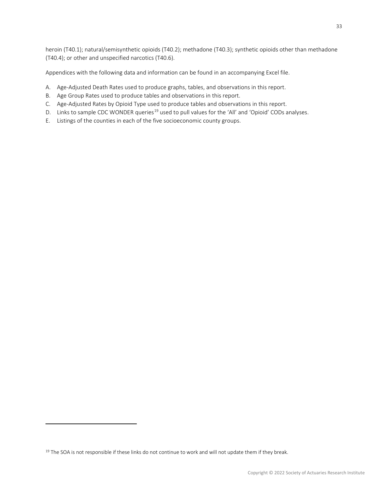heroin (T40.1); natural/semisynthetic opioids (T40.2); methadone (T40.3); synthetic opioids other than methadone (T40.4); or other and unspecified narcotics (T40.6).

Appendices with the following data and information can be found in an accompanying Excel file.

- A. Age-Adjusted Death Rates used to produce graphs, tables, and observations in this report.
- B. Age Group Rates used to produce tables and observations in this report.
- C. Age-Adjusted Rates by Opioid Type used to produce tables and observations in this report.
- D. Links to sample CDC WONDER queries<sup>[19](#page-32-0)</sup> used to pull values for the 'All' and 'Opioid' CODs analyses.
- E. Listings of the counties in each of the five socioeconomic county groups.

<span id="page-32-0"></span><sup>&</sup>lt;sup>19</sup> The SOA is not responsible if these links do not continue to work and will not update them if they break.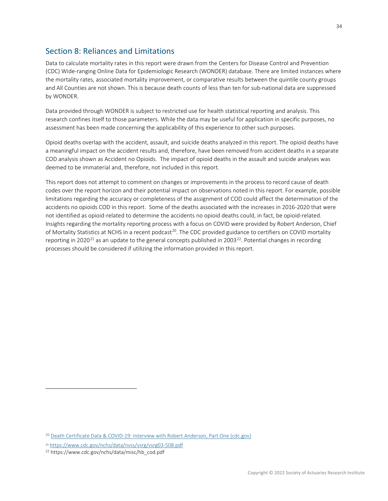# <span id="page-33-0"></span>Section 8: Reliances and Limitations

Data to calculate mortality rates in this report were drawn from the Centers for Disease Control and Prevention (CDC) Wide-ranging Online Data for Epidemiologic Research (WONDER) database. There are limited instances where the mortality rates, associated mortality improvement, or comparative results between the quintile county groups and All Counties are not shown. This is because death counts of less than ten for sub-national data are suppressed by WONDER.

Data provided through WONDER is subject to restricted use for health statistical reporting and analysis. This research confines itself to those parameters. While the data may be useful for application in specific purposes, no assessment has been made concerning the applicability of this experience to other such purposes.

Opioid deaths overlap with the accident, assault, and suicide deaths analyzed in this report. The opioid deaths have a meaningful impact on the accident results and, therefore, have been removed from accident deaths in a separate COD analysis shown as Accident no Opioids. The impact of opioid deaths in the assault and suicide analyses was deemed to be immaterial and, therefore, not included in this report.

This report does not attempt to comment on changes or improvements in the process to record cause of death codes over the report horizon and their potential impact on observations noted in this report. For example, possible limitations regarding the accuracy or completeness of the assignment of COD could affect the determination of the accidents no opioids COD in this report. Some of the deaths associated with the increases in 2016-2020 that were not identified as opioid-related to determine the accidents no opioid deaths could, in fact, be opioid-related. Insights regarding the mortality reporting process with a focus on COVID were provided by Robert Anderson, Chief of Mortality Statistics at NCHS in a recent podcast<sup>[20](#page-33-1)</sup>. The CDC provided guidance to certifiers on COVID mortality reporting in 2020<sup>[21](#page-33-2)</sup> as an update to the general concepts published in 2003<sup>22</sup>. Potential changes in recording processes should be considered if utilizing the information provided in this report.

<span id="page-33-1"></span><sup>20</sup> [Death Certificate Data & COVID-19: Interview with Robert Anderson, Part One \(cdc.gov\)](https://www.cdc.gov/nchs/pressroom/podcasts/2021/20210312/20210312.htm)

<span id="page-33-3"></span><span id="page-33-2"></span><sup>21</sup> <https://www.cdc.gov/nchs/data/nvss/vsrg/vsrg03-508.pdf>22 https://www.cdc.gov/nchs/data/misc/hb\_cod.pdf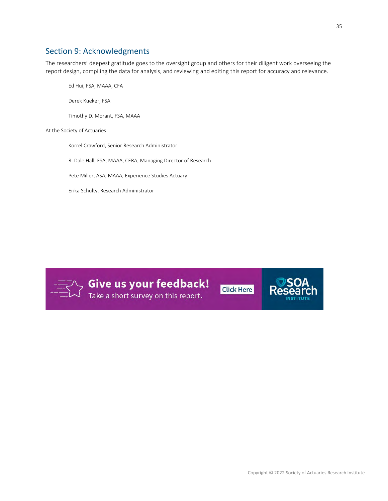# <span id="page-34-0"></span>Section 9: Acknowledgments

The researchers' deepest gratitude goes to the oversight group and others for their diligent work overseeing the report design, compiling the data for analysis, and reviewing and editing this report for accuracy and relevance.

Ed Hui, FSA, MAAA, CFA

Derek Kueker, FSA

Timothy D. Morant, FSA, MAAA

At the Society of Actuaries

Korrel Crawford, Senior Research Administrator

R. Dale Hall, FSA, MAAA, CERA, Managing Director of Research

Pete Miller, ASA, MAAA, Experience Studies Actuary

Erika Schulty, Research Administrator



**Sive us your feedback!**<br>A Take a short survey on this report.

**Click Here**